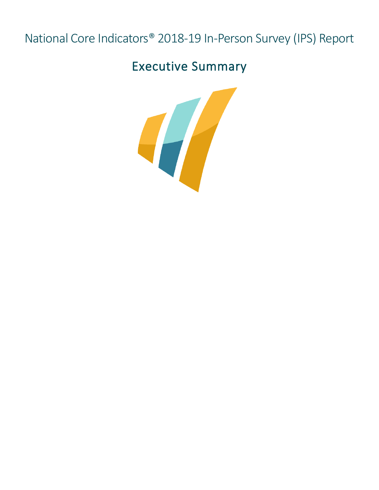# National Core Indicators® 2018-19 In-Person Survey (IPS) Report

## Executive Summary

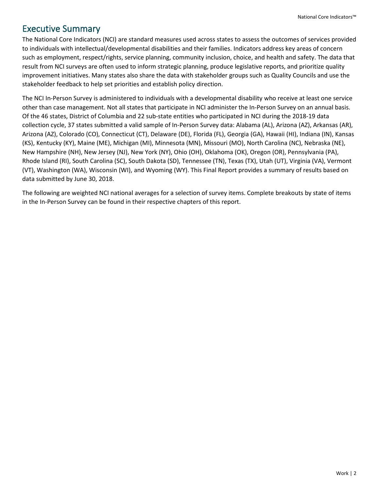### Executive Summary

The National Core Indicators (NCI) are standard measures used across states to assess the outcomes of services provided to individuals with intellectual/developmental disabilities and their families. Indicators address key areas of concern such as employment, respect/rights, service planning, community inclusion, choice, and health and safety. The data that result from NCI surveys are often used to inform strategic planning, produce legislative reports, and prioritize quality improvement initiatives. Many states also share the data with stakeholder groups such as Quality Councils and use the stakeholder feedback to help set priorities and establish policy direction.

The NCI In-Person Survey is administered to individuals with a developmental disability who receive at least one service other than case management. Not all states that participate in NCI administer the In-Person Survey on an annual basis. Of the 46 states, District of Columbia and 22 sub-state entities who participated in NCI during the 2018-19 data collection cycle, 37 states submitted a valid sample of In-Person Survey data: Alabama (AL), Arizona (AZ), Arkansas (AR), Arizona (AZ), Colorado (CO), Connecticut (CT), Delaware (DE), Florida (FL), Georgia (GA), Hawaii (HI), Indiana (IN), Kansas (KS), Kentucky (KY), Maine (ME), Michigan (MI), Minnesota (MN), Missouri (MO), North Carolina (NC), Nebraska (NE), New Hampshire (NH), New Jersey (NJ), New York (NY), Ohio (OH), Oklahoma (OK), Oregon (OR), Pennsylvania (PA), Rhode Island (RI), South Carolina (SC), South Dakota (SD), Tennessee (TN), Texas (TX), Utah (UT), Virginia (VA), Vermont (VT), Washington (WA), Wisconsin (WI), and Wyoming (WY). This Final Report provides a summary of results based on data submitted by June 30, 2018.

The following are weighted NCI national averages for a selection of survey items. Complete breakouts by state of items in the In-Person Survey can be found in their respective chapters of this report.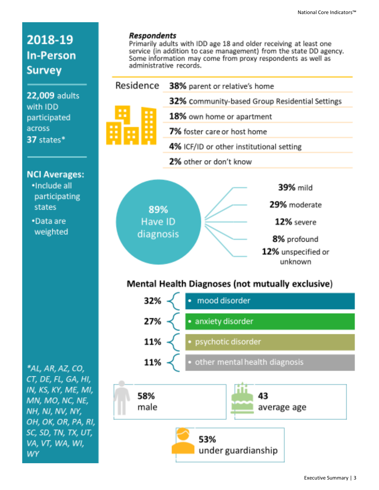12% severe

8% profound

 $12\%$  unspecified or  $\,$ unknown.

### 2018-19 **In-Person Survey**

22,009 adults with IDD participated across 37 states\*

#### **NCI Averages:**

- ·Include all participating states
- •Data are weighted

\*AL, AR, AZ, CO, CT, DE, FL, GA, HI, IN, KS, KY, ME, MI, MN, MO, NC, NE, NH, NJ, NV, NY, OH, OK, OR, PA, RI, SC, SD, TN, TX, UT, VA, VT, WA, WI, **WY** 

#### **Respondents**

89% Have ID

diagnosis

Primarily adults with IDD age 18 and older receiving at least one service (in addition to case management) from the state DD agency. Some information may come from proxy respondents as well as administrative records.

| Residence<br>■■<br><b>DI DI</b><br><b>FOR</b><br>n n<br><b>DOM:</b><br><b>DE</b><br>m m<br><b>DO</b> | 38% parent or relative's home                  |
|------------------------------------------------------------------------------------------------------|------------------------------------------------|
|                                                                                                      | 32% community-based Group Residential Settings |
|                                                                                                      | 18% own home or apartment                      |
|                                                                                                      | 7% foster care or host home                    |
|                                                                                                      | 4% ICF/ID or other institutional setting       |
|                                                                                                      | 2% other or don't know                         |
|                                                                                                      |                                                |
|                                                                                                      | <b>39% mild</b>                                |
| <b>ANGLE ANGLICA ANGLICA</b>                                                                         | 29% moderate                                   |